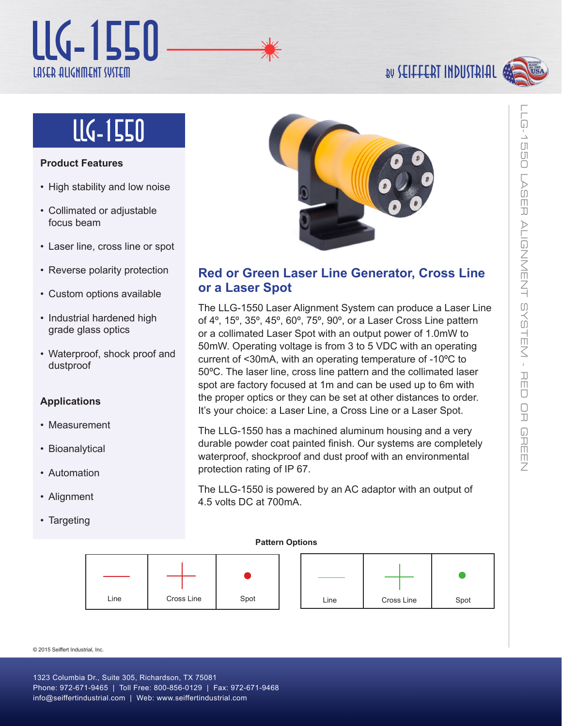## Laser Alignment System LLG-1550

## BN **SEILLEBI INDUSTBIUT**

# lLg-1550

### **Product Features**

- High stability and low noise
- Collimated or adjustable focus beam
- Laser line, cross line or spot
- Reverse polarity protection
- Custom options available
- Industrial hardened high grade glass optics
- Waterproof, shock proof and dustproof

### **Applications**

- Measurement
- Bioanalytical
- Automation
- Alignment
- Targeting



### **Red or Green Laser Line Generator, Cross Line or a Laser Spot**

The LLG-1550 Laser Alignment System can produce a Laser Line of 4º, 15º, 35º, 45º, 60º, 75º, 90º, or a Laser Cross Line pattern or a collimated Laser Spot with an output power of 1.0mW to 50mW. Operating voltage is from 3 to 5 VDC with an operating current of <30mA, with an operating temperature of -10ºC to 50ºC. The laser line, cross line pattern and the collimated laser spot are factory focused at 1m and can be used up to 6m with the proper optics or they can be set at other distances to order. It's your choice: a Laser Line, a Cross Line or a Laser Spot.

The LLG-1550 has a machined aluminum housing and a very durable powder coat painted finish. Our systems are completely waterproof, shockproof and dust proof with an environmental protection rating of IP 67.

The LLG-1550 is powered by an AC adaptor with an output of 4.5 volts DC at 700mA.

### **Pattern Options**



© 2015 Seiffert Industrial, Inc.